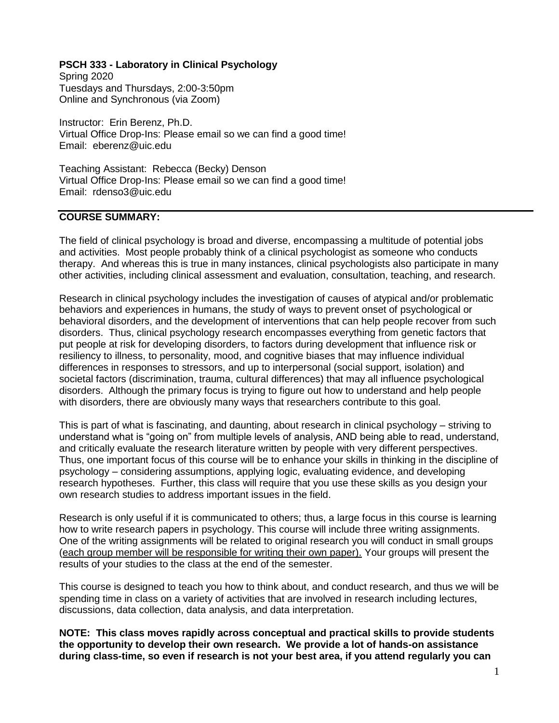#### **PSCH 333 - Laboratory in Clinical Psychology**

Spring 2020 Tuesdays and Thursdays, 2:00-3:50pm Online and Synchronous (via Zoom)

Instructor: Erin Berenz, Ph.D. Virtual Office Drop-Ins: Please email so we can find a good time! Email: eberenz@uic.edu

Teaching Assistant: Rebecca (Becky) Denson Virtual Office Drop-Ins: Please email so we can find a good time! Email: rdenso3@uic.edu

### **COURSE SUMMARY:**

The field of clinical psychology is broad and diverse, encompassing a multitude of potential jobs and activities. Most people probably think of a clinical psychologist as someone who conducts therapy. And whereas this is true in many instances, clinical psychologists also participate in many other activities, including clinical assessment and evaluation, consultation, teaching, and research.

Research in clinical psychology includes the investigation of causes of atypical and/or problematic behaviors and experiences in humans, the study of ways to prevent onset of psychological or behavioral disorders, and the development of interventions that can help people recover from such disorders. Thus, clinical psychology research encompasses everything from genetic factors that put people at risk for developing disorders, to factors during development that influence risk or resiliency to illness, to personality, mood, and cognitive biases that may influence individual differences in responses to stressors, and up to interpersonal (social support, isolation) and societal factors (discrimination, trauma, cultural differences) that may all influence psychological disorders. Although the primary focus is trying to figure out how to understand and help people with disorders, there are obviously many ways that researchers contribute to this goal.

This is part of what is fascinating, and daunting, about research in clinical psychology – striving to understand what is "going on" from multiple levels of analysis, AND being able to read, understand, and critically evaluate the research literature written by people with very different perspectives. Thus, one important focus of this course will be to enhance your skills in thinking in the discipline of psychology – considering assumptions, applying logic, evaluating evidence, and developing research hypotheses. Further, this class will require that you use these skills as you design your own research studies to address important issues in the field.

Research is only useful if it is communicated to others; thus, a large focus in this course is learning how to write research papers in psychology. This course will include three writing assignments. One of the writing assignments will be related to original research you will conduct in small groups (each group member will be responsible for writing their own paper). Your groups will present the results of your studies to the class at the end of the semester.

This course is designed to teach you how to think about, and conduct research, and thus we will be spending time in class on a variety of activities that are involved in research including lectures, discussions, data collection, data analysis, and data interpretation.

**NOTE: This class moves rapidly across conceptual and practical skills to provide students the opportunity to develop their own research. We provide a lot of hands-on assistance during class-time, so even if research is not your best area, if you attend regularly you can**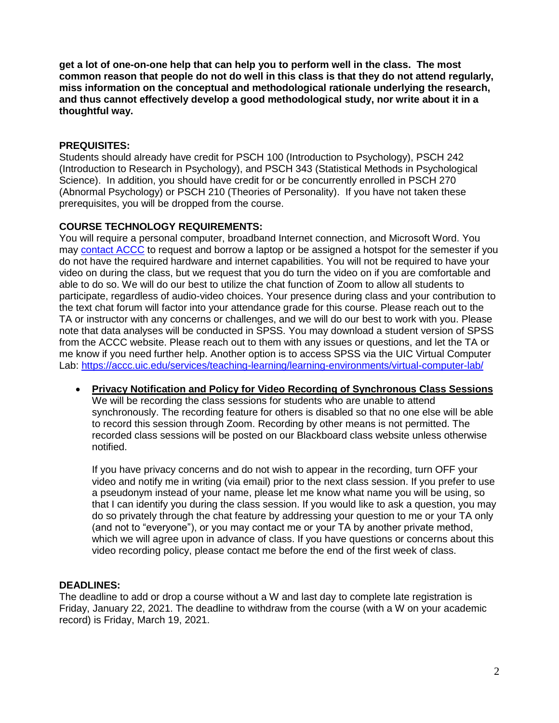**get a lot of one-on-one help that can help you to perform well in the class. The most common reason that people do not do well in this class is that they do not attend regularly, miss information on the conceptual and methodological rationale underlying the research, and thus cannot effectively develop a good methodological study, nor write about it in a thoughtful way.**

## **PREQUISITES:**

Students should already have credit for PSCH 100 (Introduction to Psychology), PSCH 242 (Introduction to Research in Psychology), and PSCH 343 (Statistical Methods in Psychological Science). In addition, you should have credit for or be concurrently enrolled in PSCH 270 (Abnormal Psychology) or PSCH 210 (Theories of Personality). If you have not taken these prerequisites, you will be dropped from the course.

## **COURSE TECHNOLOGY REQUIREMENTS:**

You will require a personal computer, broadband Internet connection, and Microsoft Word. You may [contact ACCC](https://accc.uic.edu/services/teaching-learning/equipment-lending/acccell/) to request and borrow a laptop or be assigned a hotspot for the semester if you do not have the required hardware and internet capabilities. You will not be required to have your video on during the class, but we request that you do turn the video on if you are comfortable and able to do so. We will do our best to utilize the chat function of Zoom to allow all students to participate, regardless of audio-video choices. Your presence during class and your contribution to the text chat forum will factor into your attendance grade for this course. Please reach out to the TA or instructor with any concerns or challenges, and we will do our best to work with you. Please note that data analyses will be conducted in SPSS. You may download a student version of SPSS from the ACCC website. Please reach out to them with any issues or questions, and let the TA or me know if you need further help. Another option is to access SPSS via the UIC Virtual Computer Lab:<https://accc.uic.edu/services/teaching-learning/learning-environments/virtual-computer-lab/>

 **Privacy Notification and Policy for Video Recording of Synchronous Class Sessions** We will be recording the class sessions for students who are unable to attend synchronously. The recording feature for others is disabled so that no one else will be able to record this session through Zoom. Recording by other means is not permitted. The recorded class sessions will be posted on our Blackboard class website unless otherwise notified.

If you have privacy concerns and do not wish to appear in the recording, turn OFF your video and notify me in writing (via email) prior to the next class session. If you prefer to use a pseudonym instead of your name, please let me know what name you will be using, so that I can identify you during the class session. If you would like to ask a question, you may do so privately through the chat feature by addressing your question to me or your TA only (and not to "everyone"), or you may contact me or your TA by another private method, which we will agree upon in advance of class. If you have questions or concerns about this video recording policy, please contact me before the end of the first week of class.

## **DEADLINES:**

The deadline to add or drop a course without a W and last day to complete late registration is Friday, January 22, 2021. The deadline to withdraw from the course (with a W on your academic record) is Friday, March 19, 2021.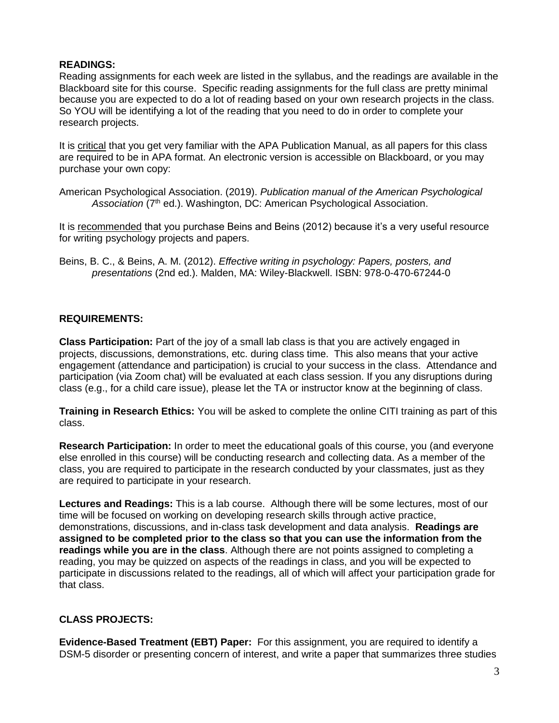### **READINGS:**

Reading assignments for each week are listed in the syllabus, and the readings are available in the Blackboard site for this course. Specific reading assignments for the full class are pretty minimal because you are expected to do a lot of reading based on your own research projects in the class. So YOU will be identifying a lot of the reading that you need to do in order to complete your research projects.

It is critical that you get very familiar with the APA Publication Manual, as all papers for this class are required to be in APA format. An electronic version is accessible on Blackboard, or you may purchase your own copy:

American Psychological Association. (2019). *Publication manual of the American Psychological*  Association (7<sup>th</sup> ed.). Washington, DC: American Psychological Association.

It is recommended that you purchase Beins and Beins (2012) because it's a very useful resource for writing psychology projects and papers.

Beins, B. C., & Beins, A. M. (2012). *Effective writing in psychology: Papers, posters, and presentations* (2nd ed.). Malden, MA: Wiley-Blackwell. ISBN: 978-0-470-67244-0

## **REQUIREMENTS:**

**Class Participation:** Part of the joy of a small lab class is that you are actively engaged in projects, discussions, demonstrations, etc. during class time. This also means that your active engagement (attendance and participation) is crucial to your success in the class. Attendance and participation (via Zoom chat) will be evaluated at each class session. If you any disruptions during class (e.g., for a child care issue), please let the TA or instructor know at the beginning of class.

**Training in Research Ethics:** You will be asked to complete the online CITI training as part of this class.

**Research Participation:** In order to meet the educational goals of this course, you (and everyone else enrolled in this course) will be conducting research and collecting data. As a member of the class, you are required to participate in the research conducted by your classmates, just as they are required to participate in your research.

**Lectures and Readings:** This is a lab course. Although there will be some lectures, most of our time will be focused on working on developing research skills through active practice, demonstrations, discussions, and in-class task development and data analysis. **Readings are assigned to be completed prior to the class so that you can use the information from the readings while you are in the class**. Although there are not points assigned to completing a reading, you may be quizzed on aspects of the readings in class, and you will be expected to participate in discussions related to the readings, all of which will affect your participation grade for that class.

## **CLASS PROJECTS:**

**Evidence-Based Treatment (EBT) Paper:** For this assignment, you are required to identify a DSM-5 disorder or presenting concern of interest, and write a paper that summarizes three studies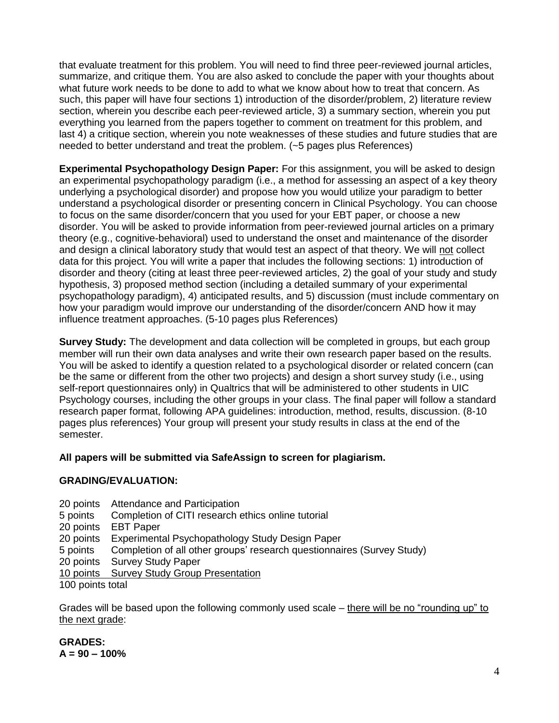that evaluate treatment for this problem. You will need to find three peer-reviewed journal articles, summarize, and critique them. You are also asked to conclude the paper with your thoughts about what future work needs to be done to add to what we know about how to treat that concern. As such, this paper will have four sections 1) introduction of the disorder/problem, 2) literature review section, wherein you describe each peer-reviewed article, 3) a summary section, wherein you put everything you learned from the papers together to comment on treatment for this problem, and last 4) a critique section, wherein you note weaknesses of these studies and future studies that are needed to better understand and treat the problem. (~5 pages plus References)

**Experimental Psychopathology Design Paper:** For this assignment, you will be asked to design an experimental psychopathology paradigm (i.e., a method for assessing an aspect of a key theory underlying a psychological disorder) and propose how you would utilize your paradigm to better understand a psychological disorder or presenting concern in Clinical Psychology. You can choose to focus on the same disorder/concern that you used for your EBT paper, or choose a new disorder. You will be asked to provide information from peer-reviewed journal articles on a primary theory (e.g., cognitive-behavioral) used to understand the onset and maintenance of the disorder and design a clinical laboratory study that would test an aspect of that theory. We will not collect data for this project. You will write a paper that includes the following sections: 1) introduction of disorder and theory (citing at least three peer-reviewed articles, 2) the goal of your study and study hypothesis, 3) proposed method section (including a detailed summary of your experimental psychopathology paradigm), 4) anticipated results, and 5) discussion (must include commentary on how your paradigm would improve our understanding of the disorder/concern AND how it may influence treatment approaches. (5-10 pages plus References)

**Survey Study:** The development and data collection will be completed in groups, but each group member will run their own data analyses and write their own research paper based on the results. You will be asked to identify a question related to a psychological disorder or related concern (can be the same or different from the other two projects) and design a short survey study (i.e., using self-report questionnaires only) in Qualtrics that will be administered to other students in UIC Psychology courses, including the other groups in your class. The final paper will follow a standard research paper format, following APA guidelines: introduction, method, results, discussion. (8-10 pages plus references) Your group will present your study results in class at the end of the semester.

## **All papers will be submitted via SafeAssign to screen for plagiarism.**

### **GRADING/EVALUATION:**

- 20 points Attendance and Participation
- 5 points Completion of CITI research ethics online tutorial
- 20 points EBT Paper
- 20 points Experimental Psychopathology Study Design Paper
- 5 points Completion of all other groups' research questionnaires (Survey Study)
- 20 points Survey Study Paper

10 points Survey Study Group Presentation

100 points total

Grades will be based upon the following commonly used scale – there will be no "rounding up" to the next grade:

### **GRADES: A = 90 – 100%**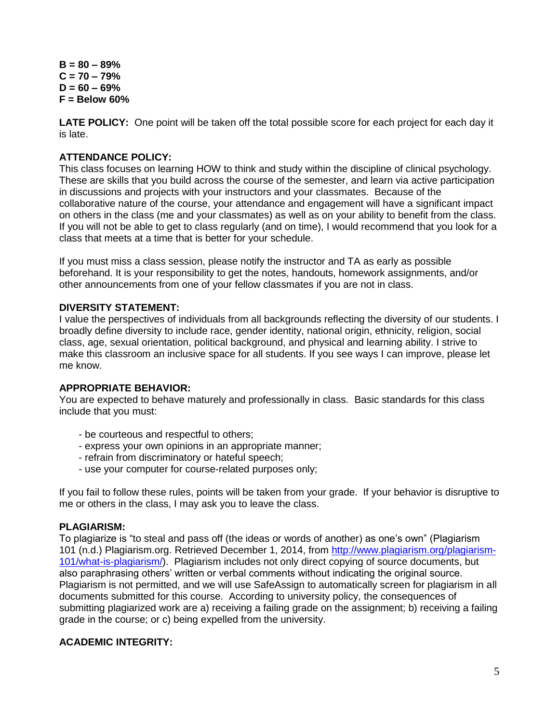**B = 80 – 89% C = 70 – 79% D = 60 – 69% F = Below 60%**

**LATE POLICY:** One point will be taken off the total possible score for each project for each day it is late.

### **ATTENDANCE POLICY:**

This class focuses on learning HOW to think and study within the discipline of clinical psychology. These are skills that you build across the course of the semester, and learn via active participation in discussions and projects with your instructors and your classmates. Because of the collaborative nature of the course, your attendance and engagement will have a significant impact on others in the class (me and your classmates) as well as on your ability to benefit from the class. If you will not be able to get to class regularly (and on time), I would recommend that you look for a class that meets at a time that is better for your schedule.

If you must miss a class session, please notify the instructor and TA as early as possible beforehand. It is your responsibility to get the notes, handouts, homework assignments, and/or other announcements from one of your fellow classmates if you are not in class.

### **DIVERSITY STATEMENT:**

I value the perspectives of individuals from all backgrounds reflecting the diversity of our students. I broadly define diversity to include race, gender identity, national origin, ethnicity, religion, social class, age, sexual orientation, political background, and physical and learning ability. I strive to make this classroom an inclusive space for all students. If you see ways I can improve, please let me know.

### **APPROPRIATE BEHAVIOR:**

You are expected to behave maturely and professionally in class. Basic standards for this class include that you must:

- be courteous and respectful to others;
- express your own opinions in an appropriate manner;
- refrain from discriminatory or hateful speech;
- use your computer for course-related purposes only;

If you fail to follow these rules, points will be taken from your grade. If your behavior is disruptive to me or others in the class, I may ask you to leave the class.

### **PLAGIARISM:**

To plagiarize is "to steal and pass off (the ideas or words of another) as one's own" (Plagiarism 101 (n.d.) Plagiarism.org. Retrieved December 1, 2014, from [http://www.plagiarism.org/plagiarism-](http://www.plagiarism.org/plagiarism-101/what-is-plagiarism/)[101/what-is-plagiarism/\)](http://www.plagiarism.org/plagiarism-101/what-is-plagiarism/). Plagiarism includes not only direct copying of source documents, but also paraphrasing others' written or verbal comments without indicating the original source. Plagiarism is not permitted, and we will use SafeAssign to automatically screen for plagiarism in all documents submitted for this course. According to university policy, the consequences of submitting plagiarized work are a) receiving a failing grade on the assignment; b) receiving a failing grade in the course; or c) being expelled from the university.

### **ACADEMIC INTEGRITY:**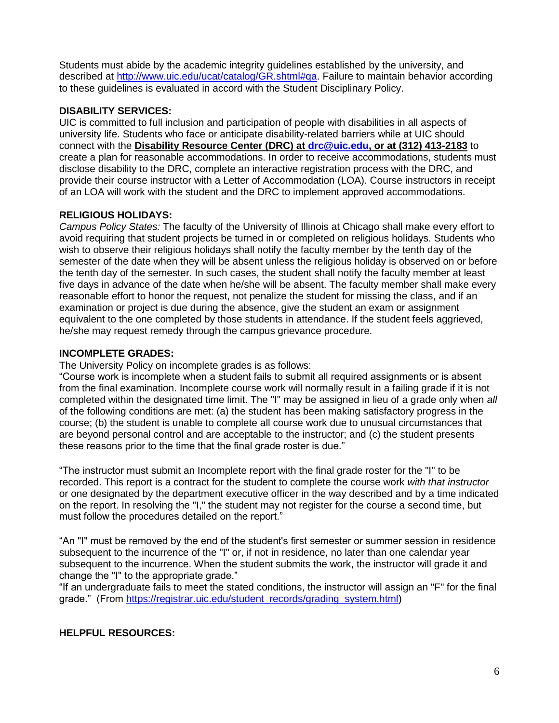Students must abide by the academic integrity guidelines established by the university, and described at [http://www.uic.edu/ucat/catalog/GR.shtml#qa.](http://www.uic.edu/ucat/catalog/GR.shtml#qa) Failure to maintain behavior according to these guidelines is evaluated in accord with the Student Disciplinary Policy.

## **DISABILITY SERVICES:**

UIC is committed to full inclusion and participation of people with disabilities in all aspects of university life. Students who face or anticipate disability-related barriers while at UIC should connect with the **Disability Resource Center (DRC) at [drc@uic.edu,](mailto:drc@uic.edu) or at (312) 413-2183** to create a plan for reasonable accommodations. In order to receive accommodations, students must disclose disability to the DRC, complete an interactive registration process with the DRC, and provide their course instructor with a Letter of Accommodation (LOA). Course instructors in receipt of an LOA will work with the student and the DRC to implement approved accommodations.

## **RELIGIOUS HOLIDAYS:**

*Campus Policy States:* The faculty of the University of Illinois at Chicago shall make every effort to avoid requiring that student projects be turned in or completed on religious holidays. Students who wish to observe their religious holidays shall notify the faculty member by the tenth day of the semester of the date when they will be absent unless the religious holiday is observed on or before the tenth day of the semester. In such cases, the student shall notify the faculty member at least five days in advance of the date when he/she will be absent. The faculty member shall make every reasonable effort to honor the request, not penalize the student for missing the class, and if an examination or project is due during the absence, give the student an exam or assignment equivalent to the one completed by those students in attendance. If the student feels aggrieved, he/she may request remedy through the campus grievance procedure.

## **INCOMPLETE GRADES:**

The University Policy on incomplete grades is as follows:

"Course work is incomplete when a student fails to submit all required assignments or is absent from the final examination. Incomplete course work will normally result in a failing grade if it is not completed within the designated time limit. The "I" may be assigned in lieu of a grade only when *all* of the following conditions are met: (a) the student has been making satisfactory progress in the course; (b) the student is unable to complete all course work due to unusual circumstances that are beyond personal control and are acceptable to the instructor; and (c) the student presents these reasons prior to the time that the final grade roster is due."

"The instructor must submit an Incomplete report with the final grade roster for the "I" to be recorded. This report is a contract for the student to complete the course work *with that instructor* or one designated by the department executive officer in the way described and by a time indicated on the report. In resolving the "I," the student may not register for the course a second time, but must follow the procedures detailed on the report."

"An "I" must be removed by the end of the student's first semester or summer session in residence subsequent to the incurrence of the "I" or, if not in residence, no later than one calendar year subsequent to the incurrence. When the student submits the work, the instructor will grade it and change the "I" to the appropriate grade."

"If an undergraduate fails to meet the stated conditions, the instructor will assign an "F" for the final grade." (From [https://registrar.uic.edu/student\\_records/grading\\_system.html\)](https://registrar.uic.edu/student_records/grading_system.html)

# **HELPFUL RESOURCES:**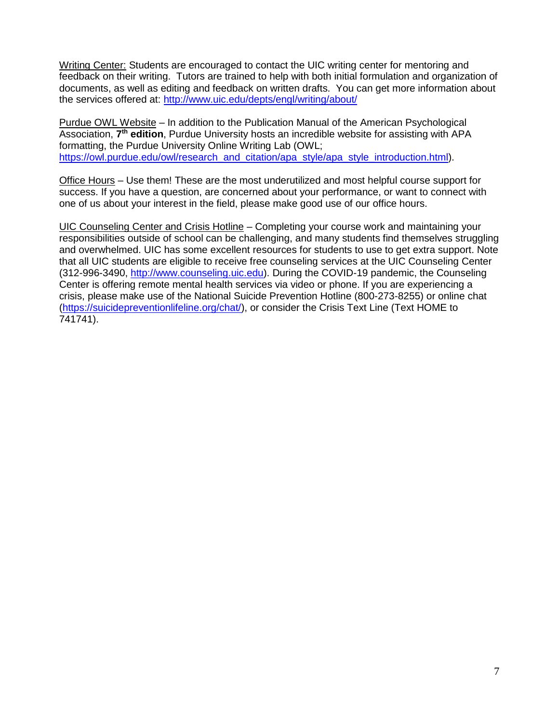Writing Center: Students are encouraged to contact the UIC writing center for mentoring and feedback on their writing. Tutors are trained to help with both initial formulation and organization of documents, as well as editing and feedback on written drafts. You can get more information about the services offered at:<http://www.uic.edu/depts/engl/writing/about/>

Purdue OWL Website – In addition to the Publication Manual of the American Psychological Association, 7<sup>th</sup> edition, Purdue University hosts an incredible website for assisting with APA formatting, the Purdue University Online Writing Lab (OWL; [https://owl.purdue.edu/owl/research\\_and\\_citation/apa\\_style/apa\\_style\\_introduction.html\)](https://owl.purdue.edu/owl/research_and_citation/apa_style/apa_style_introduction.html).

Office Hours – Use them! These are the most underutilized and most helpful course support for success. If you have a question, are concerned about your performance, or want to connect with one of us about your interest in the field, please make good use of our office hours.

UIC Counseling Center and Crisis Hotline – Completing your course work and maintaining your responsibilities outside of school can be challenging, and many students find themselves struggling and overwhelmed. UIC has some excellent resources for students to use to get extra support. Note that all UIC students are eligible to receive free counseling services at the UIC Counseling Center (312-996-3490, [http://www.counseling.uic.edu\)](http://www.counseling.uic.edu/). During the COVID-19 pandemic, the Counseling Center is offering remote mental health services via video or phone. If you are experiencing a crisis, please make use of the National Suicide Prevention Hotline (800-273-8255) or online chat [\(https://suicidepreventionlifeline.org/chat/\)](https://suicidepreventionlifeline.org/chat/), or consider the Crisis Text Line (Text HOME to 741741).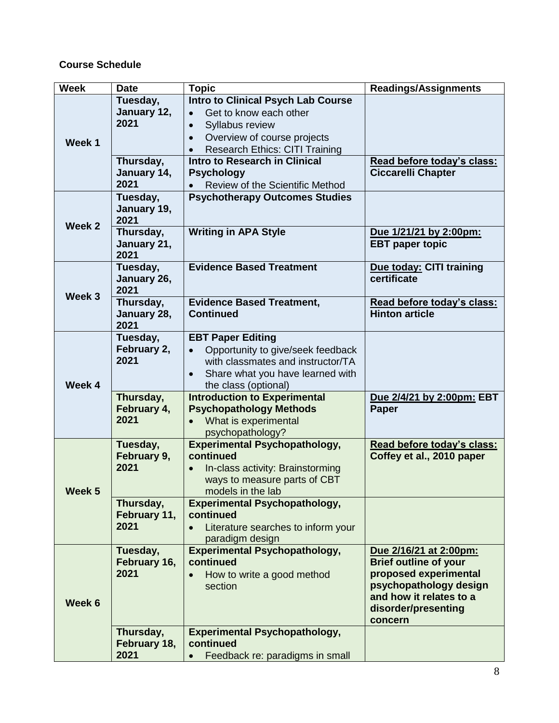### **Course Schedule**

| <b>Week</b>       | <b>Date</b>                       | <b>Topic</b>                                                                                                                                                                                           | <b>Readings/Assignments</b>                                                                                                                                            |
|-------------------|-----------------------------------|--------------------------------------------------------------------------------------------------------------------------------------------------------------------------------------------------------|------------------------------------------------------------------------------------------------------------------------------------------------------------------------|
| Week 1            | Tuesday,<br>January 12,<br>2021   | <b>Intro to Clinical Psych Lab Course</b><br>Get to know each other<br>Syllabus review<br>Overview of course projects<br><b>Research Ethics: CITI Training</b><br><b>Intro to Research in Clinical</b> |                                                                                                                                                                        |
|                   | Thursday,<br>January 14,<br>2021  | <b>Psychology</b><br>Review of the Scientific Method                                                                                                                                                   | Read before today's class:<br><b>Ciccarelli Chapter</b>                                                                                                                |
| Week 2            | Tuesday,<br>January 19,<br>2021   | <b>Psychotherapy Outcomes Studies</b>                                                                                                                                                                  |                                                                                                                                                                        |
|                   | Thursday,<br>January 21,<br>2021  | <b>Writing in APA Style</b>                                                                                                                                                                            | Due 1/21/21 by 2:00pm:<br><b>EBT</b> paper topic                                                                                                                       |
| Week 3            | Tuesday,<br>January 26,<br>2021   | <b>Evidence Based Treatment</b>                                                                                                                                                                        | Due today: CITI training<br>certificate                                                                                                                                |
|                   | Thursday,<br>January 28,<br>2021  | <b>Evidence Based Treatment,</b><br><b>Continued</b>                                                                                                                                                   | Read before today's class:<br><b>Hinton article</b>                                                                                                                    |
| Week 4            | Tuesday,<br>February 2,<br>2021   | <b>EBT Paper Editing</b><br>Opportunity to give/seek feedback<br>with classmates and instructor/TA<br>Share what you have learned with<br>the class (optional)                                         |                                                                                                                                                                        |
|                   | Thursday,<br>February 4,<br>2021  | <b>Introduction to Experimental</b><br><b>Psychopathology Methods</b><br>What is experimental<br>psychopathology?                                                                                      | Due 2/4/21 by 2:00pm: EBT<br>Paper                                                                                                                                     |
| Week <sub>5</sub> | Tuesday,<br>February 9,<br>2021   | <b>Experimental Psychopathology,</b><br>continued<br>In-class activity: Brainstorming<br>ways to measure parts of CBT<br>models in the lab                                                             | Read before today's class:<br>Coffey et al., 2010 paper                                                                                                                |
|                   | Thursday,<br>February 11,<br>2021 | <b>Experimental Psychopathology,</b><br>continued<br>Literature searches to inform your<br>paradigm design                                                                                             |                                                                                                                                                                        |
| Week 6            | Tuesday,<br>February 16,<br>2021  | <b>Experimental Psychopathology,</b><br>continued<br>How to write a good method<br>section                                                                                                             | Due 2/16/21 at 2:00pm:<br><b>Brief outline of your</b><br>proposed experimental<br>psychopathology design<br>and how it relates to a<br>disorder/presenting<br>concern |
|                   | Thursday,<br>February 18,<br>2021 | <b>Experimental Psychopathology,</b><br>continued<br>Feedback re: paradigms in small                                                                                                                   |                                                                                                                                                                        |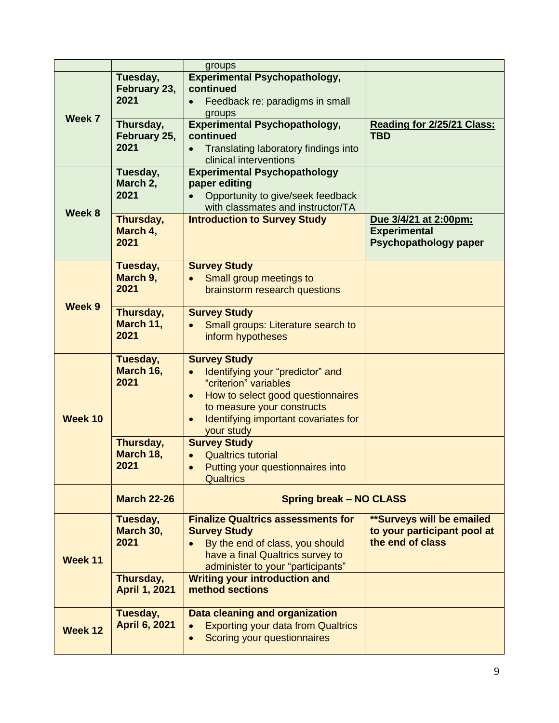|         |                      | groups                                            |                                  |
|---------|----------------------|---------------------------------------------------|----------------------------------|
|         |                      | <b>Experimental Psychopathology,</b>              |                                  |
|         | Tuesday,             | continued                                         |                                  |
|         | February 23,         |                                                   |                                  |
|         | 2021                 | Feedback re: paradigms in small                   |                                  |
| Week 7  |                      | groups                                            |                                  |
|         | Thursday,            | <b>Experimental Psychopathology,</b>              | Reading for 2/25/21 Class:       |
|         | February 25,         | continued                                         | <b>TBD</b>                       |
|         | 2021                 | Translating laboratory findings into              |                                  |
|         |                      | clinical interventions                            |                                  |
|         | Tuesday,             | <b>Experimental Psychopathology</b>               |                                  |
|         | March 2,             | paper editing                                     |                                  |
|         | 2021                 | Opportunity to give/seek feedback                 |                                  |
|         |                      | with classmates and instructor/TA                 |                                  |
| Week 8  | Thursday,            | <b>Introduction to Survey Study</b>               | Due 3/4/21 at 2:00pm:            |
|         | March 4,             |                                                   | <b>Experimental</b>              |
|         | 2021                 |                                                   | <b>Psychopathology paper</b>     |
|         |                      |                                                   |                                  |
|         |                      |                                                   |                                  |
|         | Tuesday,             | <b>Survey Study</b>                               |                                  |
|         | March 9,             | Small group meetings to                           |                                  |
|         | 2021                 | brainstorm research questions                     |                                  |
| Week 9  |                      |                                                   |                                  |
|         | Thursday,            | <b>Survey Study</b>                               |                                  |
|         | March 11,            | Small groups: Literature search to                |                                  |
|         | 2021                 | inform hypotheses                                 |                                  |
|         |                      |                                                   |                                  |
|         | Tuesday,             | <b>Survey Study</b>                               |                                  |
|         | March 16,            | Identifying your "predictor" and                  |                                  |
|         | 2021                 | "criterion" variables                             |                                  |
|         |                      | How to select good questionnaires<br>$\bullet$    |                                  |
|         |                      | to measure your constructs                        |                                  |
| Week 10 |                      | Identifying important covariates for<br>$\bullet$ |                                  |
|         |                      | your study                                        |                                  |
|         | Thursday,            | <b>Survey Study</b>                               |                                  |
|         | March 18,            | <b>Qualtrics tutorial</b>                         |                                  |
|         | 2021                 | Putting your questionnaires into                  |                                  |
|         |                      | <b>Qualtrics</b>                                  |                                  |
|         |                      |                                                   |                                  |
|         | <b>March 22-26</b>   | <b>Spring break – NO CLASS</b>                    |                                  |
|         | Tuesday,             | <b>Finalize Qualtrics assessments for</b>         | <b>**Surveys will be emailed</b> |
|         | March 30,            | <b>Survey Study</b>                               | to your participant pool at      |
|         | 2021                 | By the end of class, you should                   | the end of class                 |
|         |                      | have a final Qualtrics survey to                  |                                  |
| Week 11 |                      | administer to your "participants"                 |                                  |
|         | Thursday,            | <b>Writing your introduction and</b>              |                                  |
|         | <b>April 1, 2021</b> | method sections                                   |                                  |
|         |                      |                                                   |                                  |
|         | Tuesday,             | Data cleaning and organization                    |                                  |
|         | <b>April 6, 2021</b> | <b>Exporting your data from Qualtrics</b>         |                                  |
| Week 12 |                      | Scoring your questionnaires                       |                                  |
|         |                      |                                                   |                                  |